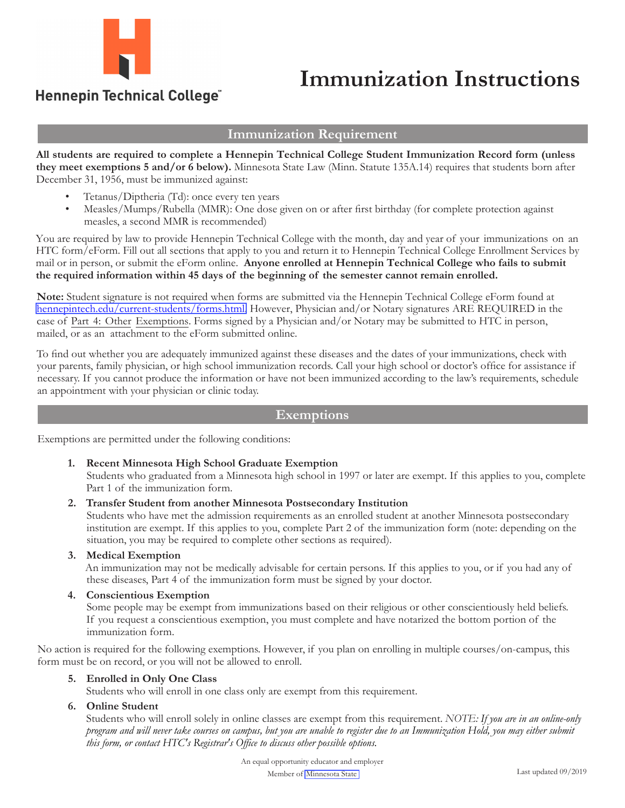

## **Immunization Instructions**

### Hennepin Technical College®

#### **Immunization Requirement**

**All students are required to complete a Hennepin Technical College Student Immunization Record form (unless they meet exemptions 5 and/or 6 below).** Minnesota State Law (Minn. Statute 135A.14) requires that students born after December 31, 1956, must be immunized against:

- Tetanus/Diptheria (Td): once every ten years
- Measles/Mumps/Rubella (MMR): One dose given on or after first birthday (for complete protection against measles, a second MMR is recommended)

You are required by law to provide Hennepin Technical College with the month, day and year of your immunizations on an HTC form/eForm. Fill out all sections that apply to you and return it to Hennepin Technical College Enrollment Services by mail or in person, or submit the eForm online. **Anyone enrolled at Hennepin Technical College who fails to submit the required information within 45 days of the beginning of the semester cannot remain enrolled.**

**Note:** Student signature is not required when forms are submitted via the Hennepin Technical College eForm found at [hennepintech.edu/current-students/forms.html](https://www.hennepintech.edu/current-students/forms.html). However, Physician and/or Notary signatures ARE REQUIRED in the case of Part 4: Other Exemptions. Forms signed by a Physician and/or Notary may be submitted to HTC in person, mailed, or as an attachment to the eForm submitted online.

To find out whether you are adequately immunized against these diseases and the dates of your immunizations, check with your parents, family physician, or high school immunization records. Call your high school or doctor's office for assistance if necessary. If you cannot produce the information or have not been immunized according to the law's requirements, schedule an appointment with your physician or clinic today.

#### **Exemptions**

Exemptions are permitted under the following conditions:

#### **1. Recent Minnesota High School Graduate Exemption**

Students who graduated from a Minnesota high school in 1997 or later are exempt. If this applies to you, complete Part 1 of the immunization form.

**2. Transfer Student from another Minnesota Postsecondary Institution**

Students who have met the admission requirements as an enrolled student at another Minnesota postsecondary institution are exempt. If this applies to you, complete Part 2 of the immunization form (note: depending on the situation, you may be required to complete other sections as required).

#### **3. Medical Exemption**

An immunization may not be medically advisable for certain persons. If this applies to you, or if you had any of these diseases, Part 4 of the immunization form must be signed by your doctor.

**4. Conscientious Exemption**

Some people may be exempt from immunizations based on their religious or other conscientiously held beliefs. If you request a conscientious exemption, you must complete and have notarized the bottom portion of the immunization form.

No action is required for the following exemptions. However, if you plan on enrolling in multiple courses/on-campus, this form must be on record, or you will not be allowed to enroll.

#### **5. Enrolled in Only One Class**

Students who will enroll in one class only are exempt from this requirement.

#### **6. Online Student**

Students who will enroll solely in online classes are exempt from this requirement. *NOTE: If you are in an online-only program and will never take courses on campus, but you are unable to register due to an Immunization Hold, you may either submit this form, or contact HTC's Registrar's Office to discuss other possible options.*